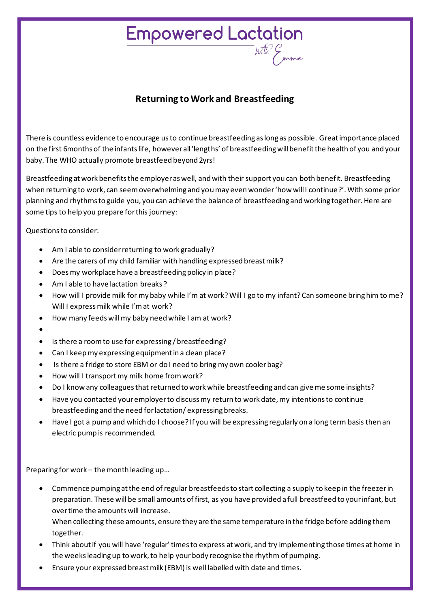## Empowered Lactation

## **Returning to Work and Breastfeeding**

There is countless evidence to encourage us to continue breastfeeding as long as possible. Great importance placed on the first 6months of the infants life, however all 'lengths' of breastfeeding will benefit the health of you and your baby. The WHO actually promote breastfeed beyond 2yrs!

Breastfeeding at work benefits the employer as well, and with their support you can both benefit. Breastfeeding when returning to work, can seem overwhelming and you may even wonder 'how will I continue?'. With some prior planning and rhythms to guide you, you can achieve the balance of breastfeeding and working together. Here are some tips to help you prepare for this journey:

Questions to consider:

- Am I able to consider returning to work gradually?
- Are the carers of my child familiar with handling expressed breast milk?
- Does my workplace have a breastfeeding policy in place?
- Am I able to have lactation breaks ?
- How will I provide milk for my baby while I'm at work?Will I go to my infant? Can someone bring him to me? Will I express milk while I'm at work?
- How many feeds will my baby need while I am at work?
- •
- Is there a room to use for expressing / breastfeeding?
- Can I keep my expressing equipment in a clean place?
- Is there a fridge to store EBM or do I need to bring my own cooler bag?
- How will I transport my milk home from work?
- Do I know any colleagues that returned to work while breastfeeding and can give me some insights?
- Have you contacted your employer to discuss my return to work date, my intentions to continue breastfeeding and the need for lactation/ expressing breaks.
- Have I got a pump and which do I choose? If you will be expressing regularly on a long term basis then an electric pump is recommended.

Preparing for work – the month leading up…

• Commence pumping at the end of regular breastfeeds to start collecting a supply to keep in the freezer in preparation. These will be small amounts of first, as you have provided a full breastfeed to your infant, but over time the amounts will increase.

When collecting these amounts, ensure they are the same temperature in the fridge before adding them together.

- Think about if you will have 'regular' times to express at work, and try implementing those times at home in the weeks leading up to work, to help your body recognise the rhythm of pumping.
- Ensure your expressed breast milk (EBM) is well labelled with date and times.